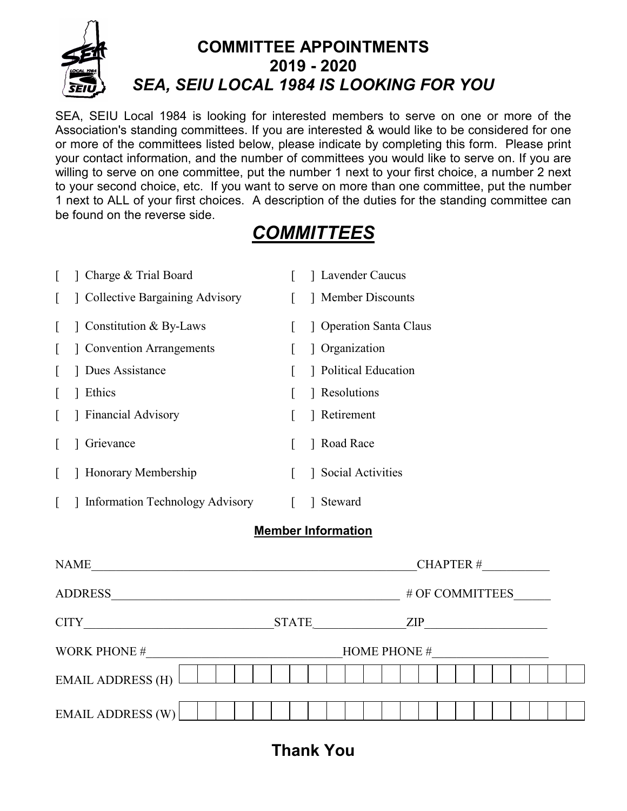

## **COMMITTEE APPOINTMENTS 2019 - 2020** *SEA, SEIU LOCAL 1984 IS LOOKING FOR YOU*

SEA, SEIU Local 1984 is looking for interested members to serve on one or more of the Association's standing committees. If you are interested & would like to be considered for one or more of the committees listed below, please indicate by completing this form. Please print your contact information, and the number of committees you would like to serve on. If you are willing to serve on one committee, put the number 1 next to your first choice, a number 2 next to your second choice, etc. If you want to serve on more than one committee, put the number 1 next to ALL of your first choices. A description of the duties for the standing committee can be found on the reverse side.

## *COMMITTEES*

| Charge & Trial Board                   | Lavender Caucus            |  |
|----------------------------------------|----------------------------|--|
| Collective Bargaining Advisory         | Member Discounts           |  |
| Constitution & By-Laws                 | Operation Santa Claus      |  |
| <b>Convention Arrangements</b>         | 1 Organization             |  |
| Dues Assistance                        | <b>Political Education</b> |  |
| Ethics                                 | Resolutions                |  |
| Financial Advisory                     | Retirement                 |  |
| Grievance                              | Road Race                  |  |
| <b>Honorary Membership</b>             | Social Activities          |  |
| <b>Information Technology Advisory</b> | Steward                    |  |

## **Member Information**

| <b>NAME</b>              | <b>CHAPTER#</b> |                     |  |  |  |  |  |
|--------------------------|-----------------|---------------------|--|--|--|--|--|
| <b>ADDRESS</b>           |                 | # OF COMMITTEES     |  |  |  |  |  |
| <b>CITY</b>              | <b>STATE</b>    | <b>ZIP</b>          |  |  |  |  |  |
| <b>WORK PHONE #</b>      |                 | <b>HOME PHONE #</b> |  |  |  |  |  |
| <b>EMAIL ADDRESS (H)</b> |                 |                     |  |  |  |  |  |
| <b>EMAIL ADDRESS (W)</b> |                 |                     |  |  |  |  |  |

## **Thank You**